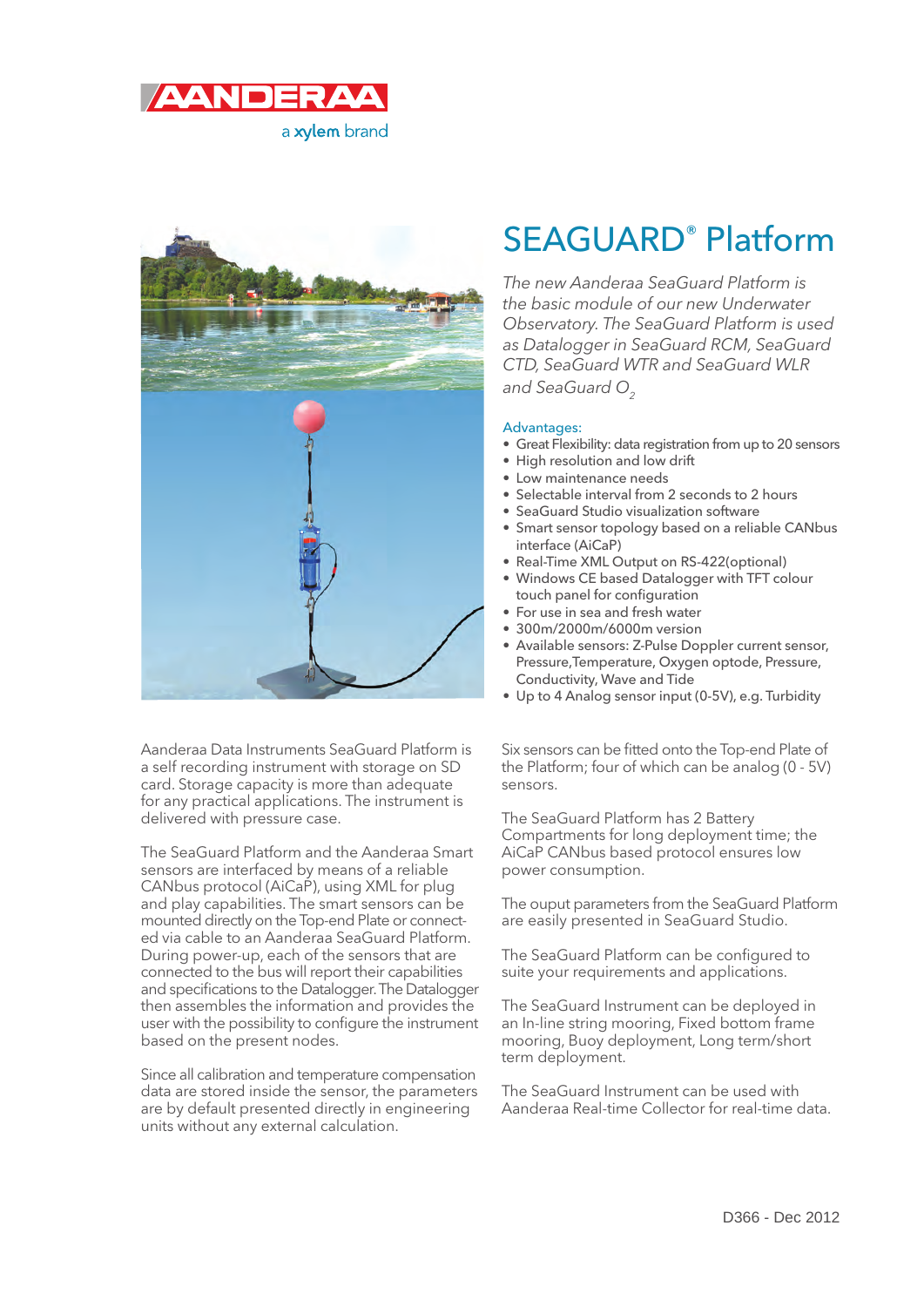



Aanderaa Data Instruments SeaGuard Platform is a self recording instrument with storage on SD card. Storage capacity is more than adequate for any practical applications. The instrument is delivered with pressure case.

The SeaGuard Platform and the Aanderaa Smart sensors are interfaced by means of a reliable CANbus protocol (AiCaP), using XML for plug and play capabilities. The smart sensors can be mounted directly on the Top-end Plate or connected via cable to an Aanderaa SeaGuard Platform. During power-up, each of the sensors that are connected to the bus will report their capabilities and specifications to the Datalogger. The Datalogger then assembles the information and provides the user with the possibility to configure the instrument based on the present nodes.

Since all calibration and temperature compensation data are stored inside the sensor, the parameters are by default presented directly in engineering units without any external calculation.

# SEAGUARD® Platform

The new Aanderaa SeaGuard Platform is the basic module of our new Underwater Observatory. The SeaGuard Platform is used as Datalogger in SeaGuard RCM, SeaGuard CTD, SeaGuard WTR and SeaGuard WLR and SeaGuard  $O<sub>2</sub>$ 

#### Advantages:

- Great Flexibility: data registration from up to 20 sensors
- High resolution and low drift
- Low maintenance needs
- Selectable interval from 2 seconds to 2 hours
- SeaGuard Studio visualization software
- Smart sensor topology based on a reliable CANbus interface (AiCaP)
- Real-Time XML Output on RS-422(optional)
- Windows CE based Datalogger with TFT colour touch panel for configuration
- For use in sea and fresh water
- 300m/2000m/6000m version
- Available sensors: Z-Pulse Doppler current sensor, Pressure,Temperature, Oxygen optode, Pressure, Conductivity, Wave and Tide
- Up to 4 Analog sensor input (0-5V), e.g. Turbidity

Six sensors can be fitted onto the Top-end Plate of the Platform; four of which can be analog (0 - 5V) sensors.

The SeaGuard Platform has 2 Battery Compartments for long deployment time; the AiCaP CANbus based protocol ensures low power consumption.

The ouput parameters from the SeaGuard Platform are easily presented in SeaGuard Studio.

The SeaGuard Platform can be configured to suite your requirements and applications.

The SeaGuard Instrument can be deployed in an In-line string mooring, Fixed bottom frame mooring, Buoy deployment, Long term/short term deployment.

The SeaGuard Instrument can be used with Aanderaa Real-time Collector for real-time data.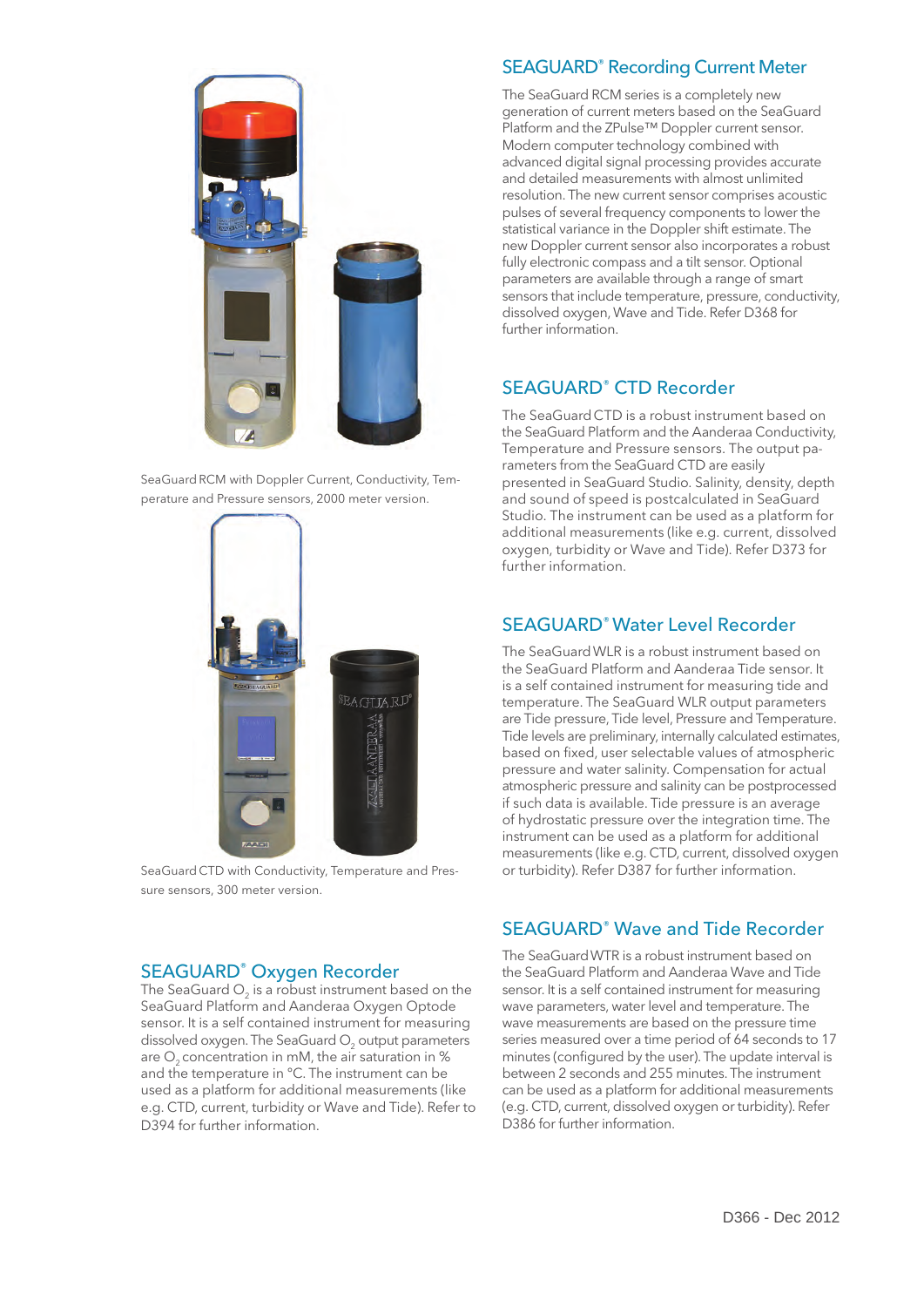

SeaGuard RCM with Doppler Current, Conductivity, Temperature and Pressure sensors, 2000 meter version.



SeaGuard CTD with Conductivity, Temperature and Pressure sensors, 300 meter version.

#### SEAGUARD® Oxygen Recorder

The SeaGuard  $\mathrm{O}_2$  is a robust instrument based on the SeaGuard Platform and Aanderaa Oxygen Optode sensor. It is a self contained instrument for measuring dissolved oxygen. The SeaGuard  $\mathrm{O}_2$  output parameters are  $O<sub>2</sub>$  concentration in mM, the air saturation in % and the temperature in °C. The instrument can be used as a platform for additional measurements (like e.g. CTD, current, turbidity or Wave and Tide). Refer to D394 for further information.

#### SEAGUARD® Recording Current Meter

The SeaGuard RCM series is a completely new generation of current meters based on the SeaGuard Platform and the ZPulse™ Doppler current sensor. Modern computer technology combined with advanced digital signal processing provides accurate and detailed measurements with almost unlimited resolution. The new current sensor comprises acoustic pulses of several frequency components to lower the statistical variance in the Doppler shift estimate. The new Doppler current sensor also incorporates a robust fully electronic compass and a tilt sensor. Optional parameters are available through a range of smart sensors that include temperature, pressure, conductivity, dissolved oxygen, Wave and Tide. Refer D368 for further information.

### SEAGUARD® CTD Recorder

The SeaGuardCTD is a robust instrument based on the SeaGuard Platform and the Aanderaa Conductivity, Temperature and Pressure sensors. The output parameters from the SeaGuard CTD are easily presented in SeaGuard Studio. Salinity, density, depth and sound of speed is postcalculated in SeaGuard Studio. The instrument can be used as a platform for additional measurements (like e.g. current, dissolved oxygen, turbidity or Wave and Tide). Refer D373 for further information.

### SEAGUARD® Water Level Recorder

The SeaGuardWLR is a robust instrument based on the SeaGuard Platform and Aanderaa Tide sensor. It is a self contained instrument for measuring tide and temperature. The SeaGuard WLR output parameters are Tide pressure, Tide level, Pressure and Temperature. Tide levels are preliminary, internally calculated estimates, based on fixed, user selectable values of atmospheric pressure and water salinity. Compensation for actual atmospheric pressure and salinity can be postprocessed if such data is available. Tide pressure is an average of hydrostatic pressure over the integration time. The instrument can be used as a platform for additional measurements (like e.g. CTD, current, dissolved oxygen or turbidity). Refer D387 for further information.

#### SEAGUARD® Wave and Tide Recorder

The SeaGuardWTR is a robust instrument based on the SeaGuard Platform and Aanderaa Wave and Tide sensor. It is a self contained instrument for measuring wave parameters, water level and temperature. The wave measurements are based on the pressure time series measured over a time period of 64 seconds to 17 minutes (configured by the user). The update interval is between 2 seconds and 255 minutes. The instrument can be used as a platform for additional measurements (e.g. CTD, current, dissolved oxygen or turbidity). Refer D386 for further information.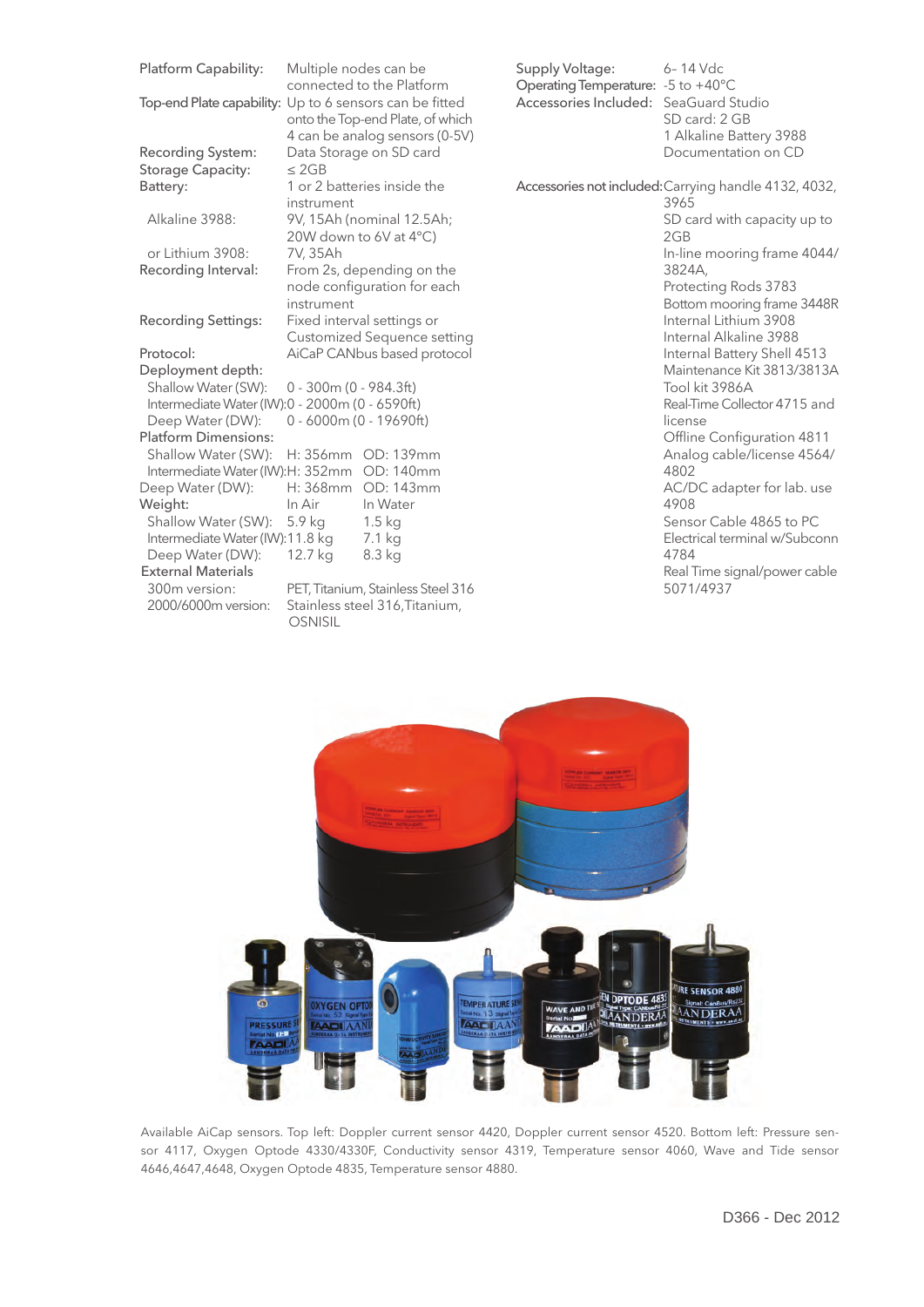| Platform Capability:                           | Multiple nodes can be<br>connected to the Platform                                                                            |                                                                      |
|------------------------------------------------|-------------------------------------------------------------------------------------------------------------------------------|----------------------------------------------------------------------|
|                                                | Top-end Plate capability: Up to 6 sensors can be fitted<br>onto the Top-end Plate, of which<br>4 can be analog sensors (0-5V) |                                                                      |
| Recording System:                              | Data Storage on SD card                                                                                                       |                                                                      |
| Storage Capacity:                              | $<$ 2GB                                                                                                                       |                                                                      |
| Battery:                                       | 1 or 2 batteries inside the                                                                                                   |                                                                      |
|                                                | instrument                                                                                                                    |                                                                      |
| Alkaline 3988:                                 | 9V, 15Ah (nominal 12.5Ah;<br>20W down to 6V at 4°C)<br>7V, 35Ah                                                               |                                                                      |
| or Lithium 3908:                               |                                                                                                                               |                                                                      |
| Recording Interval:                            | From 2s, depending on the                                                                                                     |                                                                      |
|                                                | node configuration for each                                                                                                   |                                                                      |
|                                                | instrument                                                                                                                    |                                                                      |
| <b>Recording Settings:</b>                     | Fixed interval settings or                                                                                                    |                                                                      |
|                                                | <b>Customized Sequence setting</b>                                                                                            |                                                                      |
| Protocol:                                      | AiCaP CANbus based protocol                                                                                                   |                                                                      |
| Deployment depth:                              |                                                                                                                               |                                                                      |
| Shallow Water (SW):                            | $0 - 300$ m (0 - 984.3ft)                                                                                                     |                                                                      |
| Intermediate Water (IW):0 - 2000m (0 - 6590ft) |                                                                                                                               |                                                                      |
| Deep Water (DW):                               | $0 - 6000$ m $(0 - 19690$ ft)                                                                                                 |                                                                      |
| <b>Platform Dimensions:</b>                    |                                                                                                                               |                                                                      |
| Shallow Water (SW):                            |                                                                                                                               | H: 356mm OD: 139mm                                                   |
| Intermediate Water (IW): H: 352mm OD: 140mm    |                                                                                                                               |                                                                      |
| Deep Water (DW):                               |                                                                                                                               | H: 368mm OD: 143mm                                                   |
| Weight:                                        |                                                                                                                               |                                                                      |
|                                                | In Air                                                                                                                        | In Water                                                             |
| Shallow Water (SW):                            | 5.9 kg                                                                                                                        | 1.5 <sub>kq</sub>                                                    |
| Intermediate Water (IW):11.8 kg                |                                                                                                                               | 7.1 kg                                                               |
| Deep Water (DW):                               | 12.7 kg                                                                                                                       | 8.3 kg                                                               |
| <b>External Materials</b>                      |                                                                                                                               |                                                                      |
| 300m version:<br>2000/6000m version:           |                                                                                                                               | PET, Titanium, Stainless Steel 316<br>Stainless steel 316, Titanium, |

Supply Voltage: 6-14 Vdc Operating Temperature: -5 to +40°C Accessories Included: SeaGuard Studio SD card: 2 GB 1 Alkaline Battery 3988 Documentation on CD Accessories not included:Carrying handle 4132, 4032, 3965 SD card with capacity up to 2GB In-line mooring frame 4044/ 3824A, Protecting Rods 3783 Bottom mooring frame 3448R Internal Lithium 3908 Internal Alkaline 3988 Internal Battery Shell 4513 Maintenance Kit 3813/3813A Tool kit 3986A Real-Time Collector 4715 and license Offline Configuration 4811 Analog cable/license 4564/ 4802 AC/DC adapter for lab. use 4908 Sensor Cable 4865 to PC Electrical terminal w/Subconn 4784 Real Time signal/power cable 5071/4937



Available AiCap sensors. Top left: Doppler current sensor 4420, Doppler current sensor 4520. Bottom left: Pressure sensor 4117, Oxygen Optode 4330/4330F, Conductivity sensor 4319, Temperature sensor 4060, Wave and Tide sensor 4646,4647,4648, Oxygen Optode 4835, Temperature sensor 4880.